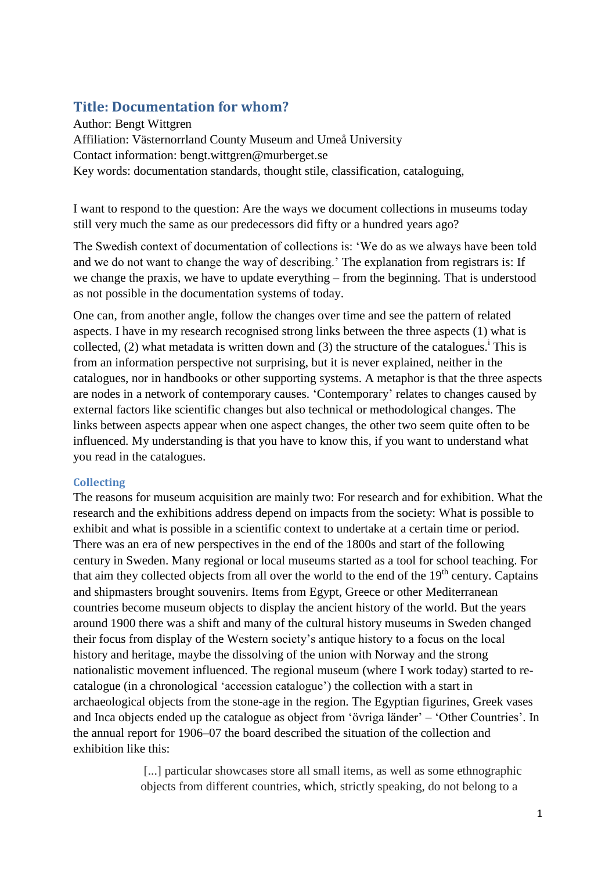# **Title: Documentation for whom?**

Author: Bengt Wittgren Affiliation: Västernorrland County Museum and Umeå University Contact information: bengt.wittgren@murberget.se Key words: documentation standards, thought stile, classification, cataloguing,

I want to respond to the question: Are the ways we document collections in museums today still very much the same as our predecessors did fifty or a hundred years ago?

The Swedish context of documentation of collections is: 'We do as we always have been told and we do not want to change the way of describing.' The explanation from registrars is: If we change the praxis, we have to update everything – from the beginning. That is understood as not possible in the documentation systems of today.

One can, from another angle, follow the changes over time and see the pattern of related aspects. I have in my research recognised strong links between the three aspects (1) what is collected, (2) what metadata is written down and (3) the structure of the catalogues.<sup>i</sup> This is from an information perspective not surprising, but it is never explained, neither in the catalogues, nor in handbooks or other supporting systems. A metaphor is that the three aspects are nodes in a network of contemporary causes. 'Contemporary' relates to changes caused by external factors like scientific changes but also technical or methodological changes. The links between aspects appear when one aspect changes, the other two seem quite often to be influenced. My understanding is that you have to know this, if you want to understand what you read in the catalogues.

## **Collecting**

The reasons for museum acquisition are mainly two: For research and for exhibition. What the research and the exhibitions address depend on impacts from the society: What is possible to exhibit and what is possible in a scientific context to undertake at a certain time or period. There was an era of new perspectives in the end of the 1800s and start of the following century in Sweden. Many regional or local museums started as a tool for school teaching. For that aim they collected objects from all over the world to the end of the  $19<sup>th</sup>$  century. Captains and shipmasters brought souvenirs. Items from Egypt, Greece or other Mediterranean countries become museum objects to display the ancient history of the world. But the years around 1900 there was a shift and many of the cultural history museums in Sweden changed their focus from display of the Western society's antique history to a focus on the local history and heritage, maybe the dissolving of the union with Norway and the strong nationalistic movement influenced. The regional museum (where I work today) started to recatalogue (in a chronological 'accession catalogue') the collection with a start in archaeological objects from the stone-age in the region. The Egyptian figurines, Greek vases and Inca objects ended up the catalogue as object from 'övriga länder' – 'Other Countries'. In the annual report for 1906–07 the board described the situation of the collection and exhibition like this:

> [...] particular showcases store all small items, as well as some ethnographic objects from different countries, which, strictly speaking, do not belong to a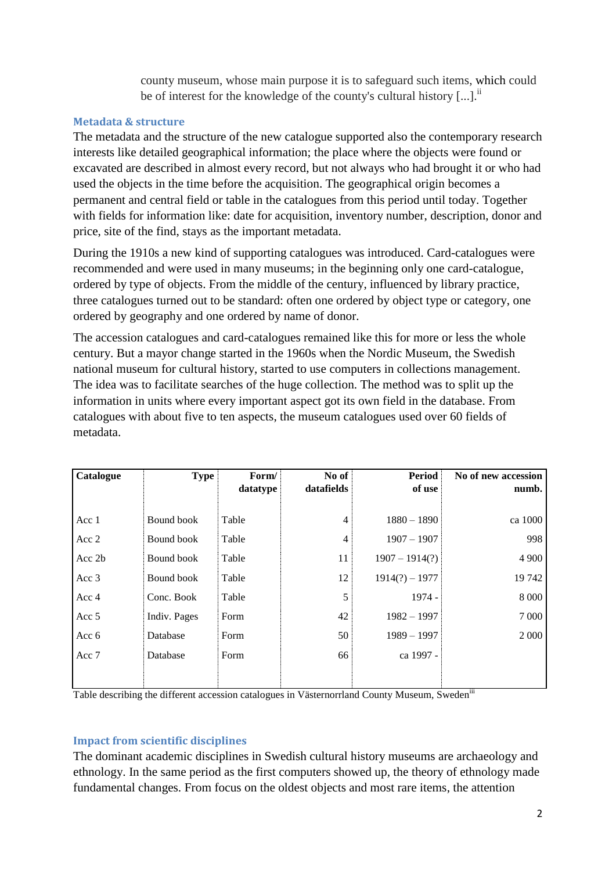county museum, whose main purpose it is to safeguard such items, which could be of interest for the knowledge of the county's cultural history  $[...]$ .

### **Metadata & structure**

The metadata and the structure of the new catalogue supported also the contemporary research interests like detailed geographical information; the place where the objects were found or excavated are described in almost every record, but not always who had brought it or who had used the objects in the time before the acquisition. The geographical origin becomes a permanent and central field or table in the catalogues from this period until today. Together with fields for information like: date for acquisition, inventory number, description, donor and price, site of the find, stays as the important metadata.

During the 1910s a new kind of supporting catalogues was introduced. Card-catalogues were recommended and were used in many museums; in the beginning only one card-catalogue, ordered by type of objects. From the middle of the century, influenced by library practice, three catalogues turned out to be standard: often one ordered by object type or category, one ordered by geography and one ordered by name of donor.

The accession catalogues and card-catalogues remained like this for more or less the whole century. But a mayor change started in the 1960s when the Nordic Museum, the Swedish national museum for cultural history, started to use computers in collections management. The idea was to facilitate searches of the huge collection. The method was to split up the information in units where every important aspect got its own field in the database. From catalogues with about five to ten aspects, the museum catalogues used over 60 fields of metadata.

| Catalogue | <b>Type</b>  | Form/    | No of          | <b>Period</b>    | No of new accession |
|-----------|--------------|----------|----------------|------------------|---------------------|
|           |              | datatype | datafields     | of use           | numb.               |
|           |              |          |                |                  |                     |
| Acc 1     | Bound book   | Table    | $\overline{4}$ | $1880 - 1890$    | ca 1000             |
| Acc 2     | Bound book   | Table    | $\overline{4}$ | $1907 - 1907$    | 998                 |
| Acc 2b    | Bound book   | Table    | 11             | $1907 - 1914(?)$ | 4 9 0 0             |
| Acc 3     | Bound book   | Table    | 12             | $1914(?) - 1977$ | 19742               |
| Acc 4     | Conc. Book   | Table    | 5              | $1974 -$         | 8 0 0 0             |
| Acc 5     | Indiv. Pages | Form     | 42             | $1982 - 1997$    | 7 0 0 0             |
| Acc 6     | Database     | Form     | 50             | $1989 - 1997$    | 2 0 0 0             |
| Acc 7     | Database     | Form     | 66             | ca 1997 -        |                     |
|           |              |          |                |                  |                     |

Table describing the different accession catalogues in Västernorrland County Museum, Swedeniii

## **Impact from scientific disciplines**

The dominant academic disciplines in Swedish cultural history museums are archaeology and ethnology. In the same period as the first computers showed up, the theory of ethnology made fundamental changes. From focus on the oldest objects and most rare items, the attention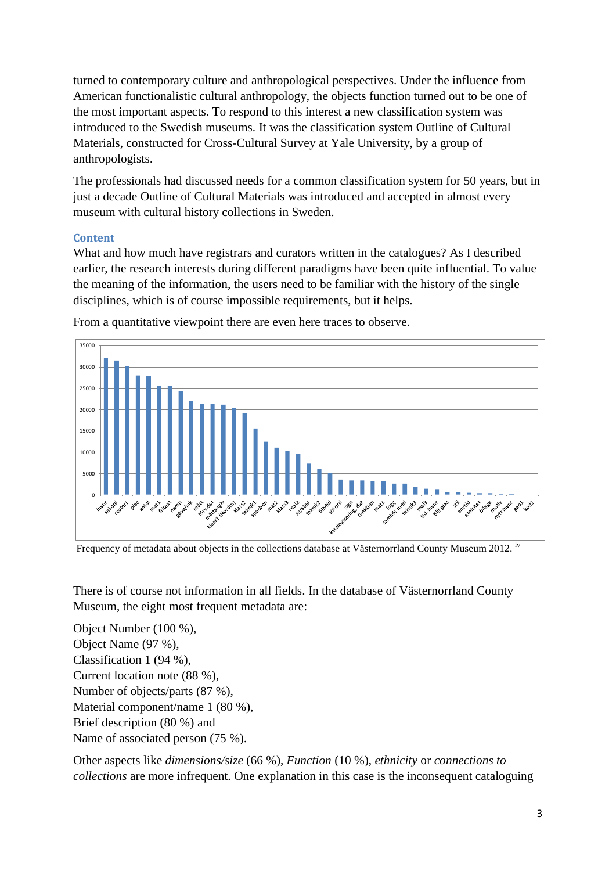turned to contemporary culture and anthropological perspectives. Under the influence from American functionalistic cultural anthropology, the objects function turned out to be one of the most important aspects. To respond to this interest a new classification system was introduced to the Swedish museums. It was the classification system Outline of Cultural Materials, constructed for Cross-Cultural Survey at Yale University, by a group of anthropologists.

The professionals had discussed needs for a common classification system for 50 years, but in just a decade Outline of Cultural Materials was introduced and accepted in almost every museum with cultural history collections in Sweden.

### **Content**

What and how much have registrars and curators written in the catalogues? As I described earlier, the research interests during different paradigms have been quite influential. To value the meaning of the information, the users need to be familiar with the history of the single disciplines, which is of course impossible requirements, but it helps.



From a quantitative viewpoint there are even here traces to observe.

Frequency of metadata about objects in the collections database at Västernorrland County Museum 2012. <sup>iv</sup>

There is of course not information in all fields. In the database of Västernorrland County Museum, the eight most frequent metadata are:

Object Number (100 %), Object Name (97 %), Classification 1 (94 %), Current location note (88 %), Number of objects/parts (87 %), Material component/name 1 (80 %), Brief description (80 %) and Name of associated person (75 %).

Other aspects like *dimensions/size* (66 %), *Function* (10 %), *ethnicity* or *connections to collections* are more infrequent. One explanation in this case is the inconsequent cataloguing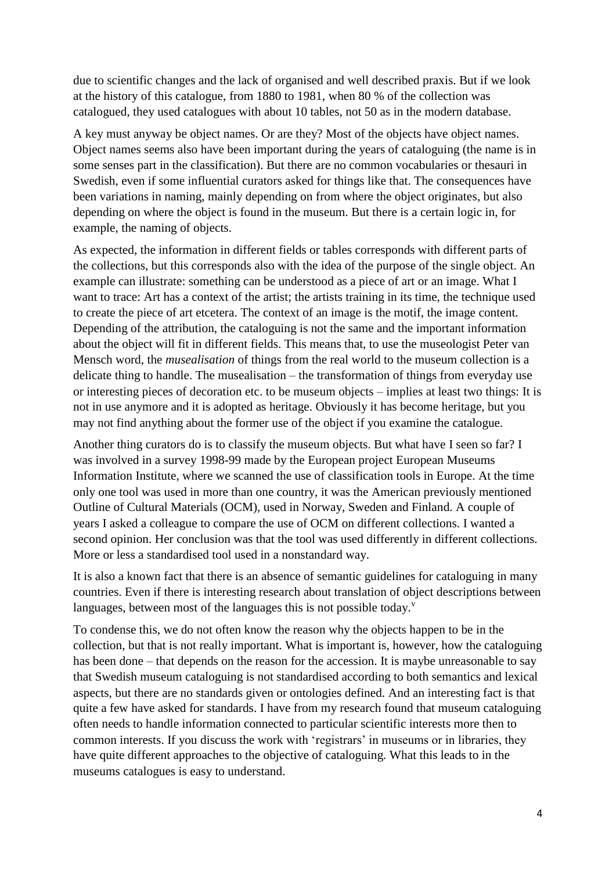due to scientific changes and the lack of organised and well described praxis. But if we look at the history of this catalogue, from 1880 to 1981, when 80 % of the collection was catalogued, they used catalogues with about 10 tables, not 50 as in the modern database.

A key must anyway be object names. Or are they? Most of the objects have object names. Object names seems also have been important during the years of cataloguing (the name is in some senses part in the classification). But there are no common vocabularies or thesauri in Swedish, even if some influential curators asked for things like that. The consequences have been variations in naming, mainly depending on from where the object originates, but also depending on where the object is found in the museum. But there is a certain logic in, for example, the naming of objects.

As expected, the information in different fields or tables corresponds with different parts of the collections, but this corresponds also with the idea of the purpose of the single object. An example can illustrate: something can be understood as a piece of art or an image. What I want to trace: Art has a context of the artist; the artists training in its time, the technique used to create the piece of art etcetera. The context of an image is the motif, the image content. Depending of the attribution, the cataloguing is not the same and the important information about the object will fit in different fields. This means that, to use the museologist Peter van Mensch word, the *musealisation* of things from the real world to the museum collection is a delicate thing to handle. The musealisation – the transformation of things from everyday use or interesting pieces of decoration etc. to be museum objects – implies at least two things: It is not in use anymore and it is adopted as heritage. Obviously it has become heritage, but you may not find anything about the former use of the object if you examine the catalogue.

Another thing curators do is to classify the museum objects. But what have I seen so far? I was involved in a survey 1998-99 made by the European project European Museums Information Institute, where we scanned the use of classification tools in Europe. At the time only one tool was used in more than one country, it was the American previously mentioned Outline of Cultural Materials (OCM), used in Norway, Sweden and Finland. A couple of years I asked a colleague to compare the use of OCM on different collections. I wanted a second opinion. Her conclusion was that the tool was used differently in different collections. More or less a standardised tool used in a nonstandard way.

It is also a known fact that there is an absence of semantic guidelines for cataloguing in many countries. Even if there is interesting research about translation of object descriptions between languages, between most of the languages this is not possible today. $v^2$ 

To condense this, we do not often know the reason why the objects happen to be in the collection, but that is not really important. What is important is, however, how the cataloguing has been done – that depends on the reason for the accession. It is maybe unreasonable to say that Swedish museum cataloguing is not standardised according to both semantics and lexical aspects, but there are no standards given or ontologies defined. And an interesting fact is that quite a few have asked for standards. I have from my research found that museum cataloguing often needs to handle information connected to particular scientific interests more then to common interests. If you discuss the work with 'registrars' in museums or in libraries, they have quite different approaches to the objective of cataloguing. What this leads to in the museums catalogues is easy to understand.